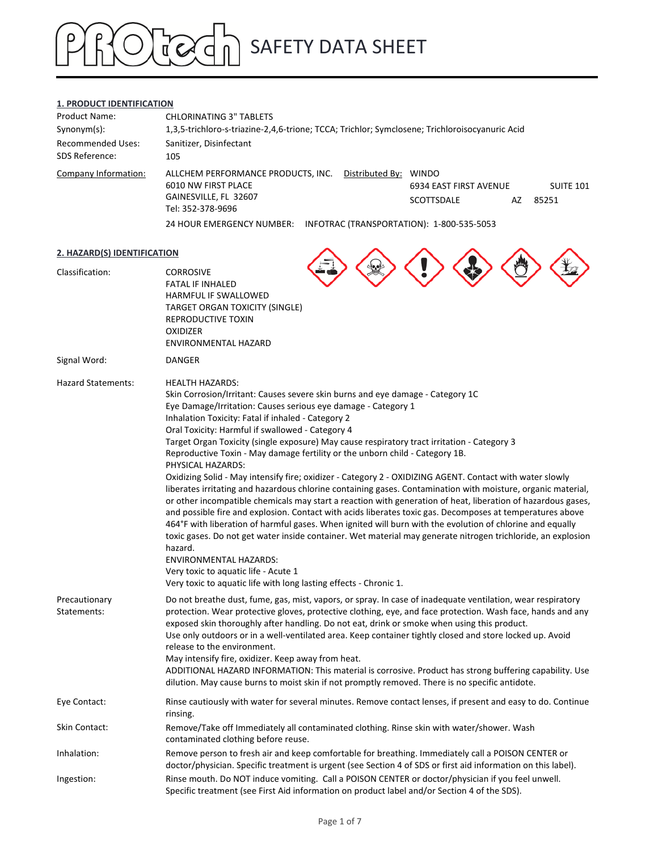# SAFETY DATA SHEET  $\sum_{n=1}^{\infty}$

## **1. PRODUCT IDENTIFICATION**

| <b>Product Name:</b>     | <b>CHLORINATING 3" TABLETS</b>                                                                 |                        |    |                  |
|--------------------------|------------------------------------------------------------------------------------------------|------------------------|----|------------------|
| $Synonym(s)$ :           | 1,3,5-trichloro-s-triazine-2,4,6-trione; TCCA; Trichlor; Symclosene; Trichloroisocyanuric Acid |                        |    |                  |
| <b>Recommended Uses:</b> | Sanitizer, Disinfectant                                                                        |                        |    |                  |
| <b>SDS Reference:</b>    | 105                                                                                            |                        |    |                  |
| Company Information:     | Distributed By: WINDO<br>ALLCHEM PERFORMANCE PRODUCTS, INC.<br>6010 NW FIRST PLACE             | 6934 EAST FIRST AVENUE |    | <b>SUITE 101</b> |
|                          | GAINESVILLE, FL 32607<br>Tel: 352-378-9696                                                     | SCOTTSDALE             | AZ | 85251            |
|                          | 24 HOUR EMERGENCY NUMBER:<br>INFOTRAC (TRANSPORTATION): 1-800-535-5053                         |                        |    |                  |

### **2. HAZARD(S) IDENTIFICATION**

| 2. HAZARD(S) IDENTIFICATION  |                                                                                                                                                                                                                                                                                                                                                                                                                                                                                                                                                                                                                                                                                                                                                                                                                                                                                                                                                                                                                                                                                                                                                                                                                                                                                                                                        |  |
|------------------------------|----------------------------------------------------------------------------------------------------------------------------------------------------------------------------------------------------------------------------------------------------------------------------------------------------------------------------------------------------------------------------------------------------------------------------------------------------------------------------------------------------------------------------------------------------------------------------------------------------------------------------------------------------------------------------------------------------------------------------------------------------------------------------------------------------------------------------------------------------------------------------------------------------------------------------------------------------------------------------------------------------------------------------------------------------------------------------------------------------------------------------------------------------------------------------------------------------------------------------------------------------------------------------------------------------------------------------------------|--|
| Classification:              | <b>CORROSIVE</b><br><b>FATAL IF INHALED</b><br>HARMFUL IF SWALLOWED<br><b>TARGET ORGAN TOXICITY (SINGLE)</b><br>REPRODUCTIVE TOXIN<br><b>OXIDIZER</b><br>ENVIRONMENTAL HAZARD                                                                                                                                                                                                                                                                                                                                                                                                                                                                                                                                                                                                                                                                                                                                                                                                                                                                                                                                                                                                                                                                                                                                                          |  |
| Signal Word:                 | <b>DANGER</b>                                                                                                                                                                                                                                                                                                                                                                                                                                                                                                                                                                                                                                                                                                                                                                                                                                                                                                                                                                                                                                                                                                                                                                                                                                                                                                                          |  |
| <b>Hazard Statements:</b>    | <b>HEALTH HAZARDS:</b><br>Skin Corrosion/Irritant: Causes severe skin burns and eye damage - Category 1C<br>Eye Damage/Irritation: Causes serious eye damage - Category 1<br>Inhalation Toxicity: Fatal if inhaled - Category 2<br>Oral Toxicity: Harmful if swallowed - Category 4<br>Target Organ Toxicity (single exposure) May cause respiratory tract irritation - Category 3<br>Reproductive Toxin - May damage fertility or the unborn child - Category 1B.<br>PHYSICAL HAZARDS:<br>Oxidizing Solid - May intensify fire; oxidizer - Category 2 - OXIDIZING AGENT. Contact with water slowly<br>liberates irritating and hazardous chlorine containing gases. Contamination with moisture, organic material,<br>or other incompatible chemicals may start a reaction with generation of heat, liberation of hazardous gases,<br>and possible fire and explosion. Contact with acids liberates toxic gas. Decomposes at temperatures above<br>464°F with liberation of harmful gases. When ignited will burn with the evolution of chlorine and equally<br>toxic gases. Do not get water inside container. Wet material may generate nitrogen trichloride, an explosion<br>hazard.<br><b>ENVIRONMENTAL HAZARDS:</b><br>Very toxic to aquatic life - Acute 1<br>Very toxic to aquatic life with long lasting effects - Chronic 1. |  |
| Precautionary<br>Statements: | Do not breathe dust, fume, gas, mist, vapors, or spray. In case of inadequate ventilation, wear respiratory<br>protection. Wear protective gloves, protective clothing, eye, and face protection. Wash face, hands and any<br>exposed skin thoroughly after handling. Do not eat, drink or smoke when using this product.<br>Use only outdoors or in a well-ventilated area. Keep container tightly closed and store locked up. Avoid<br>release to the environment.<br>May intensify fire, oxidizer. Keep away from heat.<br>ADDITIONAL HAZARD INFORMATION: This material is corrosive. Product has strong buffering capability. Use<br>dilution. May cause burns to moist skin if not promptly removed. There is no specific antidote.                                                                                                                                                                                                                                                                                                                                                                                                                                                                                                                                                                                               |  |
| Eye Contact:                 | Rinse cautiously with water for several minutes. Remove contact lenses, if present and easy to do. Continue<br>rinsing.                                                                                                                                                                                                                                                                                                                                                                                                                                                                                                                                                                                                                                                                                                                                                                                                                                                                                                                                                                                                                                                                                                                                                                                                                |  |
| Skin Contact:                | Remove/Take off Immediately all contaminated clothing. Rinse skin with water/shower. Wash<br>contaminated clothing before reuse.                                                                                                                                                                                                                                                                                                                                                                                                                                                                                                                                                                                                                                                                                                                                                                                                                                                                                                                                                                                                                                                                                                                                                                                                       |  |
| Inhalation:                  | Remove person to fresh air and keep comfortable for breathing. Immediately call a POISON CENTER or<br>doctor/physician. Specific treatment is urgent (see Section 4 of SDS or first aid information on this label).                                                                                                                                                                                                                                                                                                                                                                                                                                                                                                                                                                                                                                                                                                                                                                                                                                                                                                                                                                                                                                                                                                                    |  |
| Ingestion:                   | Rinse mouth. Do NOT induce vomiting. Call a POISON CENTER or doctor/physician if you feel unwell.<br>Specific treatment (see First Aid information on product label and/or Section 4 of the SDS).                                                                                                                                                                                                                                                                                                                                                                                                                                                                                                                                                                                                                                                                                                                                                                                                                                                                                                                                                                                                                                                                                                                                      |  |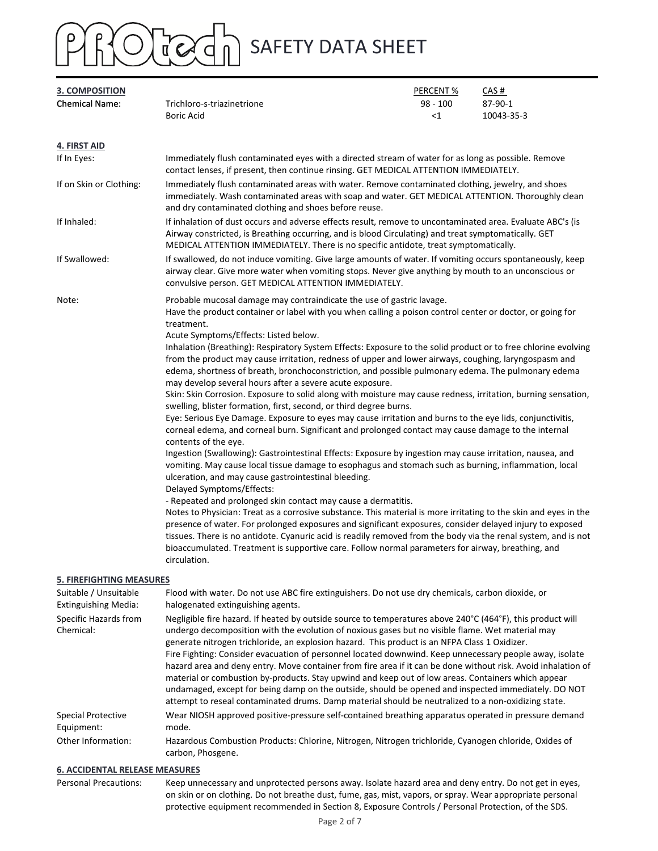

| 3. COMPOSITION                                       |                                                                                                                                                                                                                                                                                                                                                                                                                                                                                                                                                                                                                                                                                                                                                                                                                                                                                                                                                                                                                                                                                                                                                                                                                                                                                                                                                                                                                                                                                                                                                                                                                                                                                                                                                                                                                                                                                                                              | PERCENT %           | CAS#                                                                                                                                                                                                              |  |  |
|------------------------------------------------------|------------------------------------------------------------------------------------------------------------------------------------------------------------------------------------------------------------------------------------------------------------------------------------------------------------------------------------------------------------------------------------------------------------------------------------------------------------------------------------------------------------------------------------------------------------------------------------------------------------------------------------------------------------------------------------------------------------------------------------------------------------------------------------------------------------------------------------------------------------------------------------------------------------------------------------------------------------------------------------------------------------------------------------------------------------------------------------------------------------------------------------------------------------------------------------------------------------------------------------------------------------------------------------------------------------------------------------------------------------------------------------------------------------------------------------------------------------------------------------------------------------------------------------------------------------------------------------------------------------------------------------------------------------------------------------------------------------------------------------------------------------------------------------------------------------------------------------------------------------------------------------------------------------------------------|---------------------|-------------------------------------------------------------------------------------------------------------------------------------------------------------------------------------------------------------------|--|--|
| <b>Chemical Name:</b>                                | Trichloro-s-triazinetrione<br><b>Boric Acid</b>                                                                                                                                                                                                                                                                                                                                                                                                                                                                                                                                                                                                                                                                                                                                                                                                                                                                                                                                                                                                                                                                                                                                                                                                                                                                                                                                                                                                                                                                                                                                                                                                                                                                                                                                                                                                                                                                              | $98 - 100$<br>$<$ 1 | 87-90-1<br>10043-35-3                                                                                                                                                                                             |  |  |
| 4. FIRST AID                                         |                                                                                                                                                                                                                                                                                                                                                                                                                                                                                                                                                                                                                                                                                                                                                                                                                                                                                                                                                                                                                                                                                                                                                                                                                                                                                                                                                                                                                                                                                                                                                                                                                                                                                                                                                                                                                                                                                                                              |                     |                                                                                                                                                                                                                   |  |  |
| If In Eyes:                                          | Immediately flush contaminated eyes with a directed stream of water for as long as possible. Remove<br>contact lenses, if present, then continue rinsing. GET MEDICAL ATTENTION IMMEDIATELY.                                                                                                                                                                                                                                                                                                                                                                                                                                                                                                                                                                                                                                                                                                                                                                                                                                                                                                                                                                                                                                                                                                                                                                                                                                                                                                                                                                                                                                                                                                                                                                                                                                                                                                                                 |                     |                                                                                                                                                                                                                   |  |  |
| If on Skin or Clothing:                              | Immediately flush contaminated areas with water. Remove contaminated clothing, jewelry, and shoes<br>immediately. Wash contaminated areas with soap and water. GET MEDICAL ATTENTION. Thoroughly clean<br>and dry contaminated clothing and shoes before reuse.                                                                                                                                                                                                                                                                                                                                                                                                                                                                                                                                                                                                                                                                                                                                                                                                                                                                                                                                                                                                                                                                                                                                                                                                                                                                                                                                                                                                                                                                                                                                                                                                                                                              |                     |                                                                                                                                                                                                                   |  |  |
| If Inhaled:                                          | If inhalation of dust occurs and adverse effects result, remove to uncontaminated area. Evaluate ABC's (is<br>Airway constricted, is Breathing occurring, and is blood Circulating) and treat symptomatically. GET<br>MEDICAL ATTENTION IMMEDIATELY. There is no specific antidote, treat symptomatically.                                                                                                                                                                                                                                                                                                                                                                                                                                                                                                                                                                                                                                                                                                                                                                                                                                                                                                                                                                                                                                                                                                                                                                                                                                                                                                                                                                                                                                                                                                                                                                                                                   |                     |                                                                                                                                                                                                                   |  |  |
| If Swallowed:                                        | convulsive person. GET MEDICAL ATTENTION IMMEDIATELY.                                                                                                                                                                                                                                                                                                                                                                                                                                                                                                                                                                                                                                                                                                                                                                                                                                                                                                                                                                                                                                                                                                                                                                                                                                                                                                                                                                                                                                                                                                                                                                                                                                                                                                                                                                                                                                                                        |                     | If swallowed, do not induce vomiting. Give large amounts of water. If vomiting occurs spontaneously, keep<br>airway clear. Give more water when vomiting stops. Never give anything by mouth to an unconscious or |  |  |
| Note:                                                | Probable mucosal damage may contraindicate the use of gastric lavage.<br>Have the product container or label with you when calling a poison control center or doctor, or going for<br>treatment.<br>Acute Symptoms/Effects: Listed below.<br>Inhalation (Breathing): Respiratory System Effects: Exposure to the solid product or to free chlorine evolving<br>from the product may cause irritation, redness of upper and lower airways, coughing, laryngospasm and<br>edema, shortness of breath, bronchoconstriction, and possible pulmonary edema. The pulmonary edema<br>may develop several hours after a severe acute exposure.<br>Skin: Skin Corrosion. Exposure to solid along with moisture may cause redness, irritation, burning sensation,<br>swelling, blister formation, first, second, or third degree burns.<br>Eye: Serious Eye Damage. Exposure to eyes may cause irritation and burns to the eye lids, conjunctivitis,<br>corneal edema, and corneal burn. Significant and prolonged contact may cause damage to the internal<br>contents of the eye.<br>Ingestion (Swallowing): Gastrointestinal Effects: Exposure by ingestion may cause irritation, nausea, and<br>vomiting. May cause local tissue damage to esophagus and stomach such as burning, inflammation, local<br>ulceration, and may cause gastrointestinal bleeding.<br>Delayed Symptoms/Effects:<br>- Repeated and prolonged skin contact may cause a dermatitis.<br>Notes to Physician: Treat as a corrosive substance. This material is more irritating to the skin and eyes in the<br>presence of water. For prolonged exposures and significant exposures, consider delayed injury to exposed<br>tissues. There is no antidote. Cyanuric acid is readily removed from the body via the renal system, and is not<br>bioaccumulated. Treatment is supportive care. Follow normal parameters for airway, breathing, and<br>circulation. |                     |                                                                                                                                                                                                                   |  |  |
| <b>5. FIREFIGHTING MEASURES</b>                      |                                                                                                                                                                                                                                                                                                                                                                                                                                                                                                                                                                                                                                                                                                                                                                                                                                                                                                                                                                                                                                                                                                                                                                                                                                                                                                                                                                                                                                                                                                                                                                                                                                                                                                                                                                                                                                                                                                                              |                     |                                                                                                                                                                                                                   |  |  |
| Suitable / Unsuitable<br><b>Extinguishing Media:</b> | Flood with water. Do not use ABC fire extinguishers. Do not use dry chemicals, carbon dioxide, or<br>halogenated extinguishing agents.                                                                                                                                                                                                                                                                                                                                                                                                                                                                                                                                                                                                                                                                                                                                                                                                                                                                                                                                                                                                                                                                                                                                                                                                                                                                                                                                                                                                                                                                                                                                                                                                                                                                                                                                                                                       |                     |                                                                                                                                                                                                                   |  |  |
| Specific Hazards from<br>Chemical:                   | Negligible fire hazard. If heated by outside source to temperatures above 240°C (464°F), this product will<br>undergo decomposition with the evolution of noxious gases but no visible flame. Wet material may<br>generate nitrogen trichloride, an explosion hazard. This product is an NFPA Class 1 Oxidizer.<br>Fire Fighting: Consider evacuation of personnel located downwind. Keep unnecessary people away, isolate<br>hazard area and deny entry. Move container from fire area if it can be done without risk. Avoid inhalation of<br>material or combustion by-products. Stay upwind and keep out of low areas. Containers which appear<br>undamaged, except for being damp on the outside, should be opened and inspected immediately. DO NOT<br>attempt to reseal contaminated drums. Damp material should be neutralized to a non-oxidizing state.                                                                                                                                                                                                                                                                                                                                                                                                                                                                                                                                                                                                                                                                                                                                                                                                                                                                                                                                                                                                                                                              |                     |                                                                                                                                                                                                                   |  |  |
| <b>Special Protective</b><br>Equipment:              | Wear NIOSH approved positive-pressure self-contained breathing apparatus operated in pressure demand<br>mode.                                                                                                                                                                                                                                                                                                                                                                                                                                                                                                                                                                                                                                                                                                                                                                                                                                                                                                                                                                                                                                                                                                                                                                                                                                                                                                                                                                                                                                                                                                                                                                                                                                                                                                                                                                                                                |                     |                                                                                                                                                                                                                   |  |  |
| Other Information:                                   | Hazardous Combustion Products: Chlorine, Nitrogen, Nitrogen trichloride, Cyanogen chloride, Oxides of<br>carbon, Phosgene.                                                                                                                                                                                                                                                                                                                                                                                                                                                                                                                                                                                                                                                                                                                                                                                                                                                                                                                                                                                                                                                                                                                                                                                                                                                                                                                                                                                                                                                                                                                                                                                                                                                                                                                                                                                                   |                     |                                                                                                                                                                                                                   |  |  |

## **6. ACCIDENTAL RELEASE MEASURES**

Personal Precautions: Keep unnecessary and unprotected persons away. Isolate hazard area and deny entry. Do not get in eyes, on skin or on clothing. Do not breathe dust, fume, gas, mist, vapors, or spray. Wear appropriate personal protective equipment recommended in Section 8, Exposure Controls / Personal Protection, of the SDS.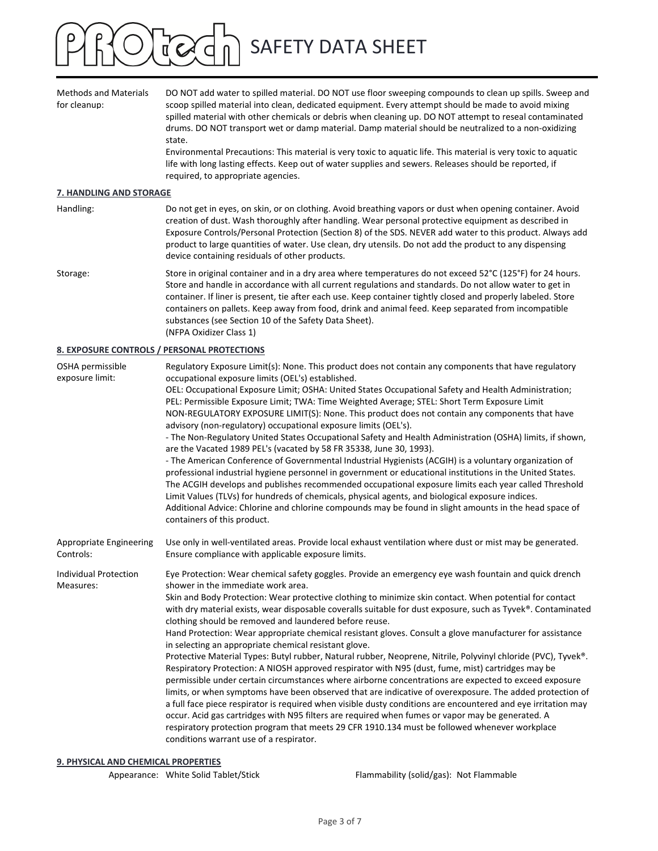

| <b>Methods and Materials</b><br>for cleanup: | DO NOT add water to spilled material. DO NOT use floor sweeping compounds to clean up spills. Sweep and<br>scoop spilled material into clean, dedicated equipment. Every attempt should be made to avoid mixing<br>spilled material with other chemicals or debris when cleaning up. DO NOT attempt to reseal contaminated<br>drums. DO NOT transport wet or damp material. Damp material should be neutralized to a non-oxidizing<br>state.<br>Environmental Precautions: This material is very toxic to aquatic life. This material is very toxic to aquatic<br>life with long lasting effects. Keep out of water supplies and sewers. Releases should be reported, if<br>required, to appropriate agencies.                                                                                                                                                                                                                                                                                                                                                                                                                                                                                                                                                                                          |
|----------------------------------------------|---------------------------------------------------------------------------------------------------------------------------------------------------------------------------------------------------------------------------------------------------------------------------------------------------------------------------------------------------------------------------------------------------------------------------------------------------------------------------------------------------------------------------------------------------------------------------------------------------------------------------------------------------------------------------------------------------------------------------------------------------------------------------------------------------------------------------------------------------------------------------------------------------------------------------------------------------------------------------------------------------------------------------------------------------------------------------------------------------------------------------------------------------------------------------------------------------------------------------------------------------------------------------------------------------------|
| <b>7. HANDLING AND STORAGE</b>               |                                                                                                                                                                                                                                                                                                                                                                                                                                                                                                                                                                                                                                                                                                                                                                                                                                                                                                                                                                                                                                                                                                                                                                                                                                                                                                         |
| Handling:                                    | Do not get in eyes, on skin, or on clothing. Avoid breathing vapors or dust when opening container. Avoid<br>creation of dust. Wash thoroughly after handling. Wear personal protective equipment as described in<br>Exposure Controls/Personal Protection (Section 8) of the SDS. NEVER add water to this product. Always add<br>product to large quantities of water. Use clean, dry utensils. Do not add the product to any dispensing<br>device containing residuals of other products.                                                                                                                                                                                                                                                                                                                                                                                                                                                                                                                                                                                                                                                                                                                                                                                                             |
| Storage:                                     | Store in original container and in a dry area where temperatures do not exceed 52°C (125°F) for 24 hours.<br>Store and handle in accordance with all current regulations and standards. Do not allow water to get in<br>container. If liner is present, tie after each use. Keep container tightly closed and properly labeled. Store<br>containers on pallets. Keep away from food, drink and animal feed. Keep separated from incompatible<br>substances (see Section 10 of the Safety Data Sheet).<br>(NFPA Oxidizer Class 1)                                                                                                                                                                                                                                                                                                                                                                                                                                                                                                                                                                                                                                                                                                                                                                        |
|                                              | <b>8. EXPOSURE CONTROLS / PERSONAL PROTECTIONS</b>                                                                                                                                                                                                                                                                                                                                                                                                                                                                                                                                                                                                                                                                                                                                                                                                                                                                                                                                                                                                                                                                                                                                                                                                                                                      |
| OSHA permissible<br>exposure limit:          | Regulatory Exposure Limit(s): None. This product does not contain any components that have regulatory<br>occupational exposure limits (OEL's) established.<br>OEL: Occupational Exposure Limit; OSHA: United States Occupational Safety and Health Administration;<br>PEL: Permissible Exposure Limit; TWA: Time Weighted Average; STEL: Short Term Exposure Limit<br>NON-REGULATORY EXPOSURE LIMIT(S): None. This product does not contain any components that have<br>advisory (non-regulatory) occupational exposure limits (OEL's).<br>- The Non-Regulatory United States Occupational Safety and Health Administration (OSHA) limits, if shown,<br>are the Vacated 1989 PEL's (vacated by 58 FR 35338, June 30, 1993).<br>- The American Conference of Governmental Industrial Hygienists (ACGIH) is a voluntary organization of<br>professional industrial hygiene personnel in government or educational institutions in the United States.<br>The ACGIH develops and publishes recommended occupational exposure limits each year called Threshold<br>Limit Values (TLVs) for hundreds of chemicals, physical agents, and biological exposure indices.<br>Additional Advice: Chlorine and chlorine compounds may be found in slight amounts in the head space of<br>containers of this product. |
| Appropriate Engineering<br>Controls:         | Use only in well-ventilated areas. Provide local exhaust ventilation where dust or mist may be generated.<br>Ensure compliance with applicable exposure limits.                                                                                                                                                                                                                                                                                                                                                                                                                                                                                                                                                                                                                                                                                                                                                                                                                                                                                                                                                                                                                                                                                                                                         |
| Individual Protection<br>Measures:           | Eye Protection: Wear chemical safety goggles. Provide an emergency eye wash fountain and quick drench<br>shower in the immediate work area.<br>Skin and Body Protection: Wear protective clothing to minimize skin contact. When potential for contact<br>with dry material exists, wear disposable coveralls suitable for dust exposure, such as Tyvek®. Contaminated<br>clothing should be removed and laundered before reuse.<br>Hand Protection: Wear appropriate chemical resistant gloves. Consult a glove manufacturer for assistance<br>in selecting an appropriate chemical resistant glove.<br>Protective Material Types: Butyl rubber, Natural rubber, Neoprene, Nitrile, Polyvinyl chloride (PVC), Tyvek®.<br>Respiratory Protection: A NIOSH approved respirator with N95 (dust, fume, mist) cartridges may be<br>permissible under certain circumstances where airborne concentrations are expected to exceed exposure<br>limits, or when symptoms have been observed that are indicative of overexposure. The added protection of                                                                                                                                                                                                                                                        |

a full face piece respirator is required when visible dusty conditions are encountered and eye irritation may occur. Acid gas cartridges with N95 filters are required when fumes or vapor may be generated. A respiratory protection program that meets 29 CFR 1910.134 must be followed whenever workplace conditions warrant use of a respirator.

## **9. PHYSICAL AND CHEMICAL PROPERTIES**

Appearance: White Solid Tablet/Stick Flammability (solid/gas): Not Flammable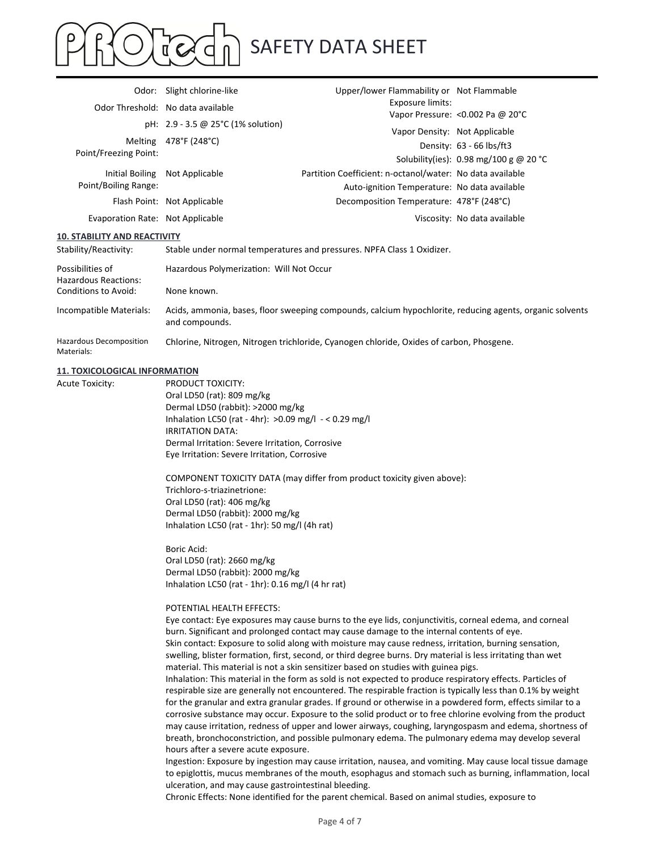# SAFETY DATA SHEET  $\sqrt{2}$

|                                                 | Odor: Slight chlorine-like                                                                                                          | Upper/lower Flammability or Not Flammable<br>Exposure limits:<br>Vapor Pressure: < 0.002 Pa @ 20°C                                                                                                                     |                                                                    |  |
|-------------------------------------------------|-------------------------------------------------------------------------------------------------------------------------------------|------------------------------------------------------------------------------------------------------------------------------------------------------------------------------------------------------------------------|--------------------------------------------------------------------|--|
|                                                 | Odor Threshold: No data available                                                                                                   |                                                                                                                                                                                                                        |                                                                    |  |
|                                                 | pH: 2.9 - 3.5 @ 25°C (1% solution)                                                                                                  | Vapor Density: Not Applicable                                                                                                                                                                                          |                                                                    |  |
| Point/Freezing Point:                           | Melting 478°F (248°C)                                                                                                               |                                                                                                                                                                                                                        | Density: 63 - 66 lbs/ft3<br>Solubility(ies): 0.98 mg/100 g @ 20 °C |  |
| <b>Initial Boiling</b><br>Point/Boiling Range:  | Not Applicable                                                                                                                      | Partition Coefficient: n-octanol/water: No data available<br>Auto-ignition Temperature: No data available                                                                                                              |                                                                    |  |
|                                                 | Flash Point: Not Applicable                                                                                                         | Decomposition Temperature: 478°F (248°C)                                                                                                                                                                               |                                                                    |  |
| Evaporation Rate: Not Applicable                |                                                                                                                                     |                                                                                                                                                                                                                        | Viscosity: No data available                                       |  |
| <b>10. STABILITY AND REACTIVITY</b>             |                                                                                                                                     |                                                                                                                                                                                                                        |                                                                    |  |
| Stability/Reactivity:                           |                                                                                                                                     | Stable under normal temperatures and pressures. NPFA Class 1 Oxidizer.                                                                                                                                                 |                                                                    |  |
| Possibilities of<br><b>Hazardous Reactions:</b> | Hazardous Polymerization: Will Not Occur                                                                                            |                                                                                                                                                                                                                        |                                                                    |  |
| Conditions to Avoid:                            | None known.                                                                                                                         |                                                                                                                                                                                                                        |                                                                    |  |
| Incompatible Materials:                         | and compounds.                                                                                                                      | Acids, ammonia, bases, floor sweeping compounds, calcium hypochlorite, reducing agents, organic solvents                                                                                                               |                                                                    |  |
| Hazardous Decomposition<br>Materials:           |                                                                                                                                     | Chlorine, Nitrogen, Nitrogen trichloride, Cyanogen chloride, Oxides of carbon, Phosgene.                                                                                                                               |                                                                    |  |
| <b>11. TOXICOLOGICAL INFORMATION</b>            |                                                                                                                                     |                                                                                                                                                                                                                        |                                                                    |  |
| <b>Acute Toxicity:</b>                          | PRODUCT TOXICITY:                                                                                                                   |                                                                                                                                                                                                                        |                                                                    |  |
|                                                 | Oral LD50 (rat): 809 mg/kg<br>Dermal LD50 (rabbit): >2000 mg/kg                                                                     |                                                                                                                                                                                                                        |                                                                    |  |
|                                                 | Inhalation LC50 (rat - 4hr): >0.09 mg/l - < 0.29 mg/l                                                                               |                                                                                                                                                                                                                        |                                                                    |  |
|                                                 | <b>IRRITATION DATA:</b>                                                                                                             |                                                                                                                                                                                                                        |                                                                    |  |
|                                                 | Dermal Irritation: Severe Irritation, Corrosive<br>Eye Irritation: Severe Irritation, Corrosive                                     |                                                                                                                                                                                                                        |                                                                    |  |
|                                                 |                                                                                                                                     | COMPONENT TOXICITY DATA (may differ from product toxicity given above):                                                                                                                                                |                                                                    |  |
|                                                 | Trichloro-s-triazinetrione:<br>Oral LD50 (rat): 406 mg/kg                                                                           |                                                                                                                                                                                                                        |                                                                    |  |
|                                                 | Dermal LD50 (rabbit): 2000 mg/kg                                                                                                    |                                                                                                                                                                                                                        |                                                                    |  |
|                                                 | Inhalation LC50 (rat - 1hr): 50 mg/l (4h rat)                                                                                       |                                                                                                                                                                                                                        |                                                                    |  |
|                                                 | Boric Acid:                                                                                                                         |                                                                                                                                                                                                                        |                                                                    |  |
|                                                 | Oral LD50 (rat): 2660 mg/kg                                                                                                         |                                                                                                                                                                                                                        |                                                                    |  |
|                                                 | Dermal LD50 (rabbit): 2000 mg/kg<br>Inhalation LC50 (rat - 1hr): 0.16 mg/l (4 hr rat)                                               |                                                                                                                                                                                                                        |                                                                    |  |
|                                                 |                                                                                                                                     |                                                                                                                                                                                                                        |                                                                    |  |
|                                                 | POTENTIAL HEALTH EFFECTS:<br>Eye contact: Eye exposures may cause burns to the eye lids, conjunctivitis, corneal edema, and corneal |                                                                                                                                                                                                                        |                                                                    |  |
|                                                 |                                                                                                                                     | burn. Significant and prolonged contact may cause damage to the internal contents of eye.                                                                                                                              |                                                                    |  |
|                                                 |                                                                                                                                     | Skin contact: Exposure to solid along with moisture may cause redness, irritation, burning sensation,                                                                                                                  |                                                                    |  |
|                                                 |                                                                                                                                     | swelling, blister formation, first, second, or third degree burns. Dry material is less irritating than wet                                                                                                            |                                                                    |  |
|                                                 |                                                                                                                                     | material. This material is not a skin sensitizer based on studies with guinea pigs.<br>Inhalation: This material in the form as sold is not expected to produce respiratory effects. Particles of                      |                                                                    |  |
|                                                 |                                                                                                                                     | respirable size are generally not encountered. The respirable fraction is typically less than 0.1% by weight                                                                                                           |                                                                    |  |
|                                                 |                                                                                                                                     | for the granular and extra granular grades. If ground or otherwise in a powdered form, effects similar to a                                                                                                            |                                                                    |  |
|                                                 |                                                                                                                                     | corrosive substance may occur. Exposure to the solid product or to free chlorine evolving from the product<br>may cause irritation, redness of upper and lower airways, coughing, laryngospasm and edema, shortness of |                                                                    |  |
|                                                 |                                                                                                                                     | breath, bronchoconstriction, and possible pulmonary edema. The pulmonary edema may develop several                                                                                                                     |                                                                    |  |
|                                                 | hours after a severe acute exposure.                                                                                                |                                                                                                                                                                                                                        |                                                                    |  |
|                                                 |                                                                                                                                     | Ingestion: Exposure by ingestion may cause irritation, nausea, and vomiting. May cause local tissue damage<br>to epiglottis, mucus membranes of the mouth, esophagus and stomach such as burning, inflammation, local  |                                                                    |  |
|                                                 | ulceration, and may cause gastrointestinal bleeding.                                                                                |                                                                                                                                                                                                                        |                                                                    |  |

Chronic Effects: None identified for the parent chemical. Based on animal studies, exposure to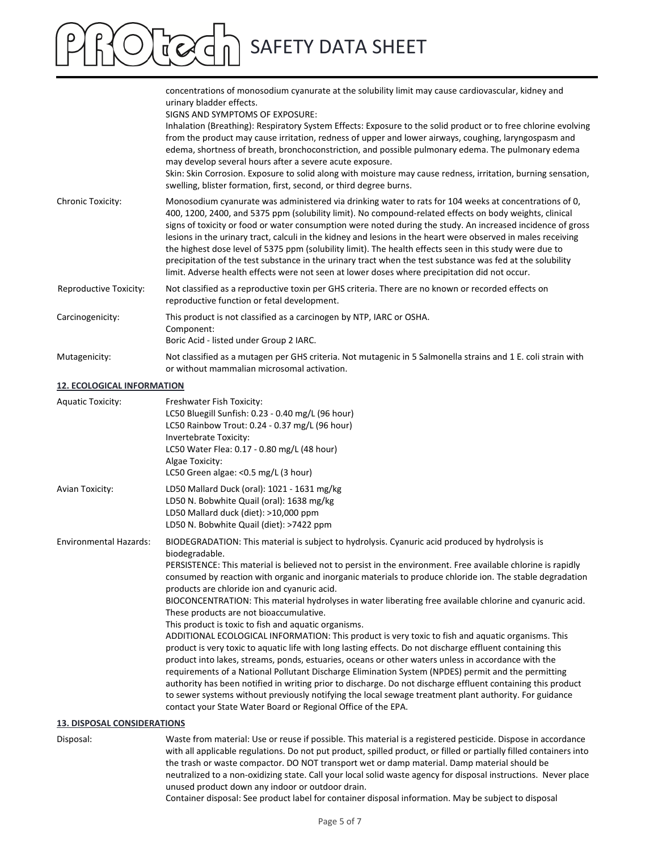# SAFETY DATA SHEET

concentrations of monosodium cyanurate at the solubility limit may cause cardiovascular, kidney and urinary bladder effects. SIGNS AND SYMPTOMS OF EXPOSURE: Inhalation (Breathing): Respiratory System Effects: Exposure to the solid product or to free chlorine evolving from the product may cause irritation, redness of upper and lower airways, coughing, laryngospasm and edema, shortness of breath, bronchoconstriction, and possible pulmonary edema. The pulmonary edema may develop several hours after a severe acute exposure. Skin: Skin Corrosion. Exposure to solid along with moisture may cause redness, irritation, burning sensation, swelling, blister formation, first, second, or third degree burns. Chronic Toxicity: Monosodium cyanurate was administered via drinking water to rats for 104 weeks at concentrations of 0, 400, 1200, 2400, and 5375 ppm (solubility limit). No compound‐related effects on body weights, clinical signs of toxicity or food or water consumption were noted during the study. An increased incidence of gross lesions in the urinary tract, calculi in the kidney and lesions in the heart were observed in males receiving the highest dose level of 5375 ppm (solubility limit). The health effects seen in this study were due to precipitation of the test substance in the urinary tract when the test substance was fed at the solubility limit. Adverse health effects were not seen at lower doses where precipitation did not occur. Reproductive Toxicity: Not classified as a reproductive toxin per GHS criteria. There are no known or recorded effects on reproductive function or fetal development. Carcinogenicity: This product is not classified as a carcinogen by NTP, IARC or OSHA. Component: Boric Acid ‐ listed under Group 2 IARC. Mutagenicity: Not classified as a mutagen per GHS criteria. Not mutagenic in 5 Salmonella strains and 1 E. coli strain with or without mammalian microsomal activation.

#### **12. ECOLOGICAL INFORMATION**

| <b>Aquatic Toxicity:</b>      | Freshwater Fish Toxicity:<br>LC50 Bluegill Sunfish: 0.23 - 0.40 mg/L (96 hour)<br>LC50 Rainbow Trout: 0.24 - 0.37 mg/L (96 hour)<br>Invertebrate Toxicity:<br>LC50 Water Flea: 0.17 - 0.80 mg/L (48 hour)<br>Algae Toxicity:<br>LC50 Green algae: < 0.5 mg/L (3 hour)                                                                                                                                                                                                                                                                                                                                                                                                                                                                                                                                                                                                                                                                                                                                                                                                                                                                                                                                                                                                                                                                      |
|-------------------------------|--------------------------------------------------------------------------------------------------------------------------------------------------------------------------------------------------------------------------------------------------------------------------------------------------------------------------------------------------------------------------------------------------------------------------------------------------------------------------------------------------------------------------------------------------------------------------------------------------------------------------------------------------------------------------------------------------------------------------------------------------------------------------------------------------------------------------------------------------------------------------------------------------------------------------------------------------------------------------------------------------------------------------------------------------------------------------------------------------------------------------------------------------------------------------------------------------------------------------------------------------------------------------------------------------------------------------------------------|
| <b>Avian Toxicity:</b>        | LD50 Mallard Duck (oral): 1021 - 1631 mg/kg<br>LD50 N. Bobwhite Quail (oral): 1638 mg/kg<br>LD50 Mallard duck (diet): >10,000 ppm<br>LD50 N. Bobwhite Quail (diet): >7422 ppm                                                                                                                                                                                                                                                                                                                                                                                                                                                                                                                                                                                                                                                                                                                                                                                                                                                                                                                                                                                                                                                                                                                                                              |
| <b>Environmental Hazards:</b> | BIODEGRADATION: This material is subject to hydrolysis. Cyanuric acid produced by hydrolysis is<br>biodegradable.<br>PERSISTENCE: This material is believed not to persist in the environment. Free available chlorine is rapidly<br>consumed by reaction with organic and inorganic materials to produce chloride ion. The stable degradation<br>products are chloride ion and cyanuric acid.<br>BIOCONCENTRATION: This material hydrolyses in water liberating free available chlorine and cyanuric acid.<br>These products are not bioaccumulative.<br>This product is toxic to fish and aquatic organisms.<br>ADDITIONAL ECOLOGICAL INFORMATION: This product is very toxic to fish and aquatic organisms. This<br>product is very toxic to aquatic life with long lasting effects. Do not discharge effluent containing this<br>product into lakes, streams, ponds, estuaries, oceans or other waters unless in accordance with the<br>requirements of a National Pollutant Discharge Elimination System (NPDES) permit and the permitting<br>authority has been notified in writing prior to discharge. Do not discharge effluent containing this product<br>to sewer systems without previously notifying the local sewage treatment plant authority. For guidance<br>contact your State Water Board or Regional Office of the EPA. |

# **13. DISPOSAL CONSIDERATIONS**

Disposal: Waste from material: Use or reuse if possible. This material is a registered pesticide. Dispose in accordance with all applicable regulations. Do not put product, spilled product, or filled or partially filled containers into the trash or waste compactor. DO NOT transport wet or damp material. Damp material should be neutralized to a non‐oxidizing state. Call your local solid waste agency for disposal instructions. Never place unused product down any indoor or outdoor drain.

Container disposal: See product label for container disposal information. May be subject to disposal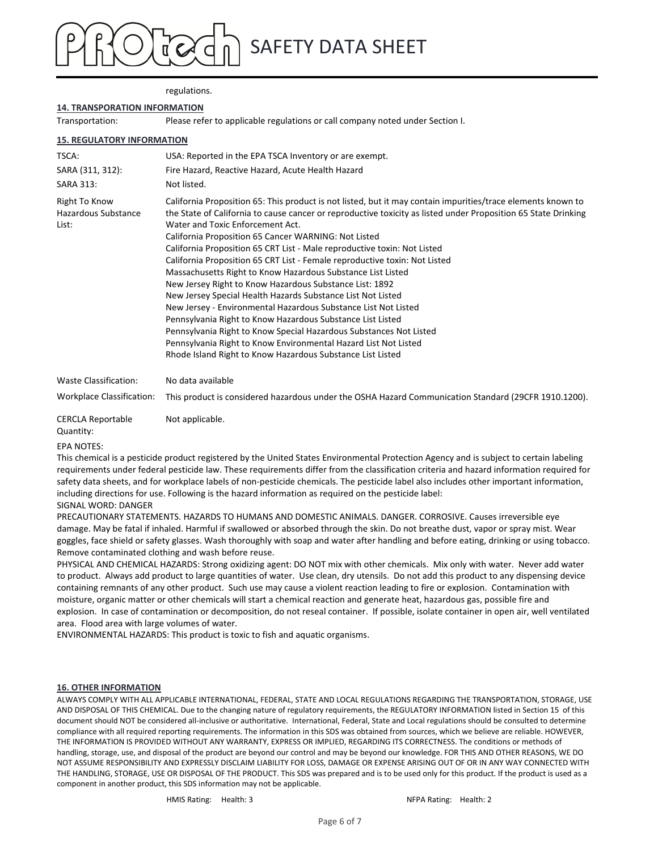# SAFETY DATA SHEET

#### regulations.

#### **14. TRANSPORATION INFORMATION**

Transportation: Please refer to applicable regulations or call company noted under Section I.

#### **15. REGULATORY INFORMATION**

| TSCA:                                         | USA: Reported in the EPA TSCA Inventory or are exempt.                                                                                                                                                                                                                                                                                                                                                                                                                                                                                                                                                                                                                                                                                                                                                                                                                                                                                                                                                               |
|-----------------------------------------------|----------------------------------------------------------------------------------------------------------------------------------------------------------------------------------------------------------------------------------------------------------------------------------------------------------------------------------------------------------------------------------------------------------------------------------------------------------------------------------------------------------------------------------------------------------------------------------------------------------------------------------------------------------------------------------------------------------------------------------------------------------------------------------------------------------------------------------------------------------------------------------------------------------------------------------------------------------------------------------------------------------------------|
| SARA (311, 312):<br><b>SARA 313:</b>          | Fire Hazard, Reactive Hazard, Acute Health Hazard<br>Not listed.                                                                                                                                                                                                                                                                                                                                                                                                                                                                                                                                                                                                                                                                                                                                                                                                                                                                                                                                                     |
| Right To Know<br>Hazardous Substance<br>List: | California Proposition 65: This product is not listed, but it may contain impurities/trace elements known to<br>the State of California to cause cancer or reproductive toxicity as listed under Proposition 65 State Drinking<br>Water and Toxic Enforcement Act.<br>California Proposition 65 Cancer WARNING: Not Listed<br>California Proposition 65 CRT List - Male reproductive toxin: Not Listed<br>California Proposition 65 CRT List - Female reproductive toxin: Not Listed<br>Massachusetts Right to Know Hazardous Substance List Listed<br>New Jersey Right to Know Hazardous Substance List: 1892<br>New Jersey Special Health Hazards Substance List Not Listed<br>New Jersey - Environmental Hazardous Substance List Not Listed<br>Pennsylvania Right to Know Hazardous Substance List Listed<br>Pennsylvania Right to Know Special Hazardous Substances Not Listed<br>Pennsylvania Right to Know Environmental Hazard List Not Listed<br>Rhode Island Right to Know Hazardous Substance List Listed |
| Waste Classification:                         | No data available                                                                                                                                                                                                                                                                                                                                                                                                                                                                                                                                                                                                                                                                                                                                                                                                                                                                                                                                                                                                    |
| <b>Workplace Classification:</b>              | This product is considered hazardous under the OSHA Hazard Communication Standard (29CFR 1910.1200).                                                                                                                                                                                                                                                                                                                                                                                                                                                                                                                                                                                                                                                                                                                                                                                                                                                                                                                 |
| <b>CERCLA Reportable</b><br>Ouantity:         | Not applicable.                                                                                                                                                                                                                                                                                                                                                                                                                                                                                                                                                                                                                                                                                                                                                                                                                                                                                                                                                                                                      |

#### EPA NOTES:

This chemical is a pesticide product registered by the United States Environmental Protection Agency and is subject to certain labeling requirements under federal pesticide law. These requirements differ from the classification criteria and hazard information required for safety data sheets, and for workplace labels of non-pesticide chemicals. The pesticide label also includes other important information, including directions for use. Following is the hazard information as required on the pesticide label: SIGNAL WORD: DANGER

### PRECAUTIONARY STATEMENTS. HAZARDS TO HUMANS AND DOMESTIC ANIMALS. DANGER. CORROSIVE. Causes irreversible eye damage. May be fatal if inhaled. Harmful if swallowed or absorbed through the skin. Do not breathe dust, vapor or spray mist. Wear goggles, face shield or safety glasses. Wash thoroughly with soap and water after handling and before eating, drinking or using tobacco. Remove contaminated clothing and wash before reuse.

PHYSICAL AND CHEMICAL HAZARDS: Strong oxidizing agent: DO NOT mix with other chemicals. Mix only with water. Never add water to product. Always add product to large quantities of water. Use clean, dry utensils. Do not add this product to any dispensing device containing remnants of any other product. Such use may cause a violent reaction leading to fire or explosion. Contamination with moisture, organic matter or other chemicals will start a chemical reaction and generate heat, hazardous gas, possible fire and explosion. In case of contamination or decomposition, do not reseal container. If possible, isolate container in open air, well ventilated area. Flood area with large volumes of water.

ENVIRONMENTAL HAZARDS: This product is toxic to fish and aquatic organisms.

#### **16. OTHER INFORMATION**

ALWAYS COMPLY WITH ALL APPLICABLE INTERNATIONAL, FEDERAL, STATE AND LOCAL REGULATIONS REGARDING THE TRANSPORTATION, STORAGE, USE AND DISPOSAL OF THIS CHEMICAL. Due to the changing nature of regulatory requirements, the REGULATORY INFORMATION listed in Section 15 of this document should NOT be considered all‐inclusive or authoritative. International, Federal, State and Local regulations should be consulted to determine compliance with all required reporting requirements. The information in this SDS was obtained from sources, which we believe are reliable. HOWEVER, THE INFORMATION IS PROVIDED WITHOUT ANY WARRANTY, EXPRESS OR IMPLIED, REGARDING ITS CORRECTNESS. The conditions or methods of handling, storage, use, and disposal of the product are beyond our control and may be beyond our knowledge. FOR THIS AND OTHER REASONS, WE DO NOT ASSUME RESPONSIBILITY AND EXPRESSLY DISCLAIM LIABILITY FOR LOSS, DAMAGE OR EXPENSE ARISING OUT OF OR IN ANY WAY CONNECTED WITH THE HANDLING, STORAGE, USE OR DISPOSAL OF THE PRODUCT. This SDS was prepared and is to be used only for this product. If the product is used as a component in another product, this SDS information may not be applicable.